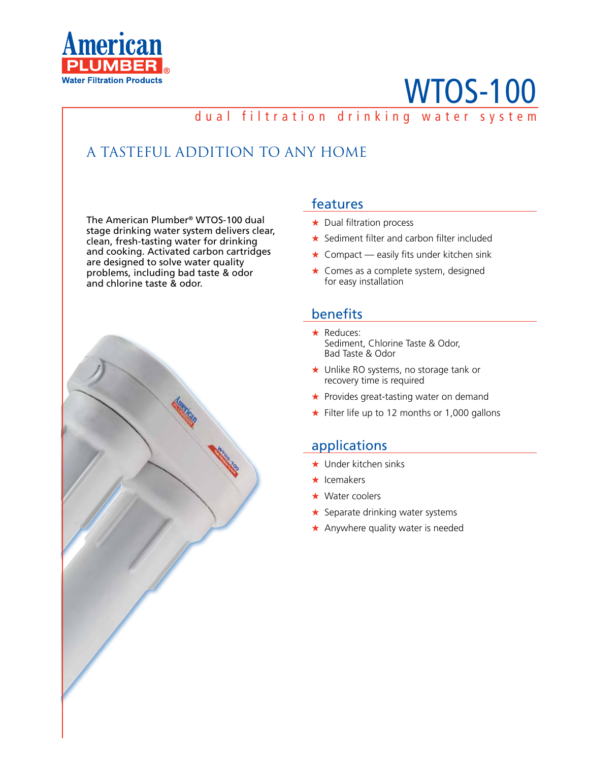

# WTOS-100

### dual filtration drinking water system

## A TASTEFUL ADDITION TO ANY HOME

The American Plumber® WTOS-100 dual stage drinking water system delivers clear, clean, fresh-tasting water for drinking and cooking. Activated carbon cartridges are designed to solve water quality problems, including bad taste & odor and chlorine taste & odor.



#### features

- ★ Dual filtration process
- ★ Sediment filter and carbon filter included
- $\star$  Compact easily fits under kitchen sink
- ★ Comes as a complete system, designed for easy installation

#### benefits

- ★ Reduces: Sediment, Chlorine Taste & Odor, Bad Taste & Odor
- ★ Unlike RO systems, no storage tank or recovery time is required
- ★ Provides great-tasting water on demand
- ★ Filter life up to 12 months or 1,000 gallons

#### applications

- ★ Under kitchen sinks
- ★ Icemakers
- ★ Water coolers
- **★ Separate drinking water systems**
- ★ Anywhere quality water is needed